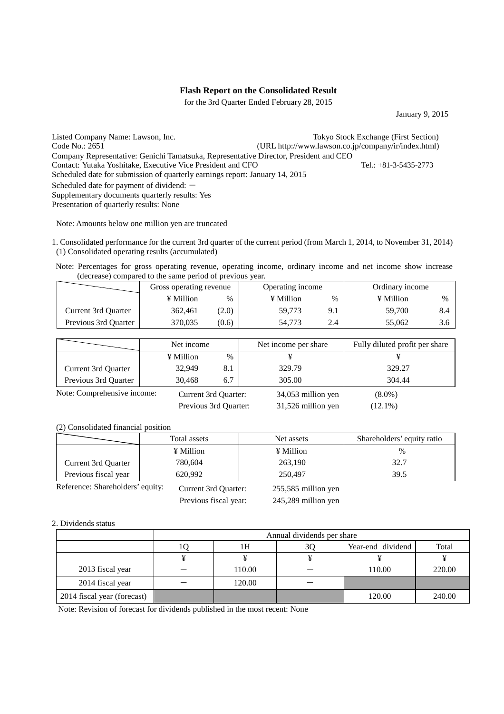### **Flash Report on the Consolidated Result**

for the 3rd Quarter Ended February 28, 2015

January 9, 2015

Listed Company Name: Lawson, Inc.<br>
Code No.: 2651<br>
Code No.: 2651<br>
COMPARE (URL http://www.lawson.co.ip/company/ir/index.html)  $(URL http://www.lawson.co.jp/company/ir/index.html)$ Company Representative: Genichi Tamatsuka, Representative Director, President and CEO Contact: Yutaka Yoshitake, Executive Vice President and CFO Tel.: +81-3-5435-2773 Scheduled date for submission of quarterly earnings report: January 14, 2015 Scheduled date for payment of dividend:  $-$ Supplementary documents quarterly results: Yes Presentation of quarterly results: None

Note: Amounts below one million yen are truncated

1. Consolidated performance for the current 3rd quarter of the current period (from March 1, 2014, to November 31, 2014) (1) Consolidated operating results (accumulated)

Note: Percentages for gross operating revenue, operating income, ordinary income and net income show increase (decrease) compared to the same period of previous year.

|                      | Gross operating revenue |               | Operating income |               | Ordinary income |   |
|----------------------|-------------------------|---------------|------------------|---------------|-----------------|---|
|                      | ¥ Million               | $\frac{0}{0}$ | ¥ Million        | $\frac{0}{0}$ | ¥ Million       | % |
| Current 3rd Ouarter  | 362.461                 | (2.0)         | 59.773           | 9.1           | 59,700          |   |
| Previous 3rd Ouarter | 370.035                 | (0.6)         | 54.773           | 2.4           | 55,062          |   |

|                             | Net income |                       | Net income per share | Fully diluted profit per share |
|-----------------------------|------------|-----------------------|----------------------|--------------------------------|
|                             | ¥ Million  | $\%$                  |                      |                                |
| Current 3rd Quarter         | 32,949     | 8.1                   | 329.79               | 329.27                         |
| Previous 3rd Quarter        | 30.468     | 6.7                   | 305.00               | 304.44                         |
| Note: Comprehensive income: |            | Current 3rd Quarter:  | 34,053 million yen   | $(8.0\%)$                      |
|                             |            | Previous 3rd Quarter: | 31,526 million yen   | $(12.1\%)$                     |

(2) Consolidated financial position

|                                  | Total assets         | Net assets            | Shareholders' equity ratio |
|----------------------------------|----------------------|-----------------------|----------------------------|
|                                  | ¥ Million            | ¥ Million             | %                          |
| Current 3rd Quarter              | 780,604              | 263,190               | 32.7                       |
| Previous fiscal year             | 620.992              | 250,497               | 39.5                       |
| Reference: Shareholders' equity: | Current 3rd Quarter: | $255,585$ million yen |                            |

Previous fiscal year: 245,289 million yen

#### 2. Dividends status

|                             | Annual dividends per share |        |    |                   |        |  |
|-----------------------------|----------------------------|--------|----|-------------------|--------|--|
|                             |                            | 1H     | 30 | Year-end dividend | Total  |  |
|                             |                            |        |    |                   |        |  |
| 2013 fiscal year            |                            | 110.00 |    | 110.00            | 220.00 |  |
| 2014 fiscal year            |                            | 120.00 |    |                   |        |  |
| 2014 fiscal year (forecast) |                            |        |    | 120.00            | 240.00 |  |

Note: Revision of forecast for dividends published in the most recent: None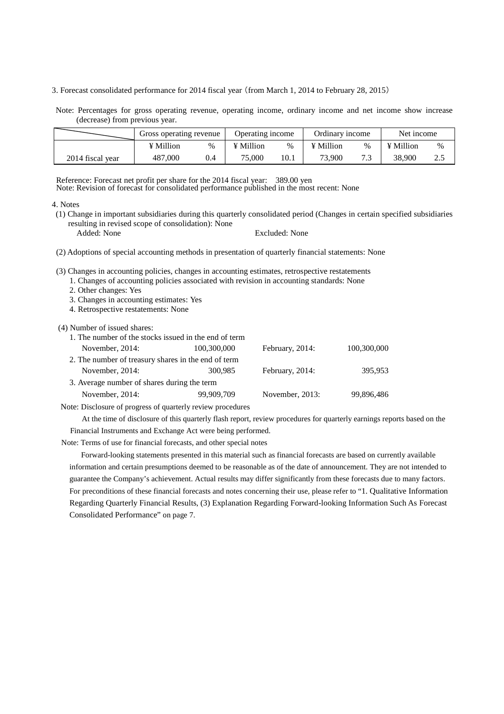3. Forecast consolidated performance for 2014 fiscal year (from March 1, 2014 to February 28, 2015)

Note: Percentages for gross operating revenue, operating income, ordinary income and net income show increase (decrease) from previous year.

|                  | Gross operating revenue |      | Operating income |      | Ordinarv income |      | Net income |      |
|------------------|-------------------------|------|------------------|------|-----------------|------|------------|------|
|                  | ¥ Million               | $\%$ | ¥ Million        | %    | ¥ Million       | $\%$ | ¥ Million  | $\%$ |
| 2014 fiscal year | 487,000                 | 0.4  | 75,000           | 10.1 | 73.900          | 73   | 38.900     | ∠…   |

Reference: Forecast net profit per share for the 2014 fiscal year: 389.00 yen

Note: Revision of forecast for consolidated performance published in the most recent: None

4. Notes

(1) Change in important subsidiaries during this quarterly consolidated period (Changes in certain specified subsidiaries resulting in revised scope of consolidation): None

Added: None Excluded: None

(2) Adoptions of special accounting methods in presentation of quarterly financial statements: None

(3) Changes in accounting policies, changes in accounting estimates, retrospective restatements

1. Changes of accounting policies associated with revision in accounting standards: None

- 2. Other changes: Yes
- 3. Changes in accounting estimates: Yes
- 4. Retrospective restatements: None

(4) Number of issued shares:

| 1. The number of the stocks issued in the end of term |             |                 |             |
|-------------------------------------------------------|-------------|-----------------|-------------|
| November, 2014:                                       | 100,300,000 | February, 2014: | 100,300,000 |
| 2. The number of treasury shares in the end of term   |             |                 |             |
| November, 2014:                                       | 300,985     | February, 2014: | 395,953     |
| 3. Average number of shares during the term           |             |                 |             |
| November, 2014:                                       | 99,909,709  | November, 2013: | 99,896,486  |
|                                                       |             |                 |             |

Note: Disclosure of progress of quarterly review procedures

At the time of disclosure of this quarterly flash report, review procedures for quarterly earnings reports based on the Financial Instruments and Exchange Act were being performed.

Note: Terms of use for financial forecasts, and other special notes

Forward-looking statements presented in this material such as financial forecasts are based on currently available information and certain presumptions deemed to be reasonable as of the date of announcement. They are not intended to guarantee the Company's achievement. Actual results may differ significantly from these forecasts due to many factors. For preconditions of these financial forecasts and notes concerning their use, please refer to "1. Qualitative Information Regarding Quarterly Financial Results, (3) Explanation Regarding Forward-looking Information Such As Forecast Consolidated Performance" on page 7.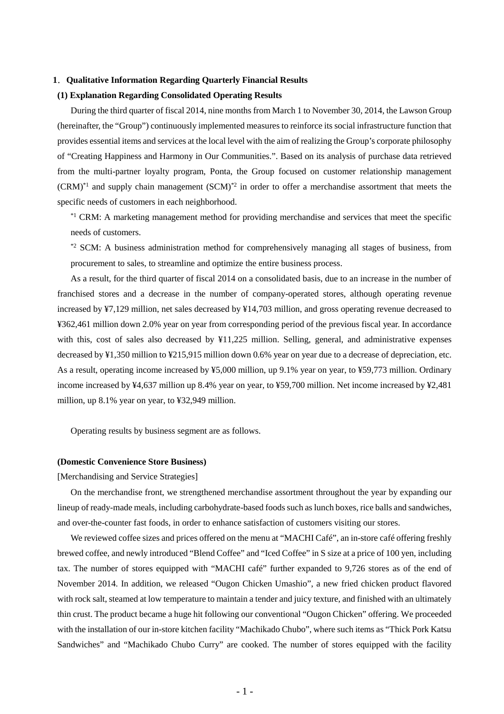#### **1**.**Qualitative Information Regarding Quarterly Financial Results**

#### **(1) Explanation Regarding Consolidated Operating Results**

During the third quarter of fiscal 2014, nine months from March 1 to November 30, 2014, the Lawson Group (hereinafter, the "Group") continuously implemented measures to reinforce its social infrastructure function that provides essential items and services at the local level with the aim of realizing the Group's corporate philosophy of "Creating Happiness and Harmony in Our Communities.". Based on its analysis of purchase data retrieved from the multi-partner loyalty program, Ponta, the Group focused on customer relationship management  $(CRM)^*$ <sup>1</sup> and supply chain management  $(SCM)^*$ <sup>2</sup> in order to offer a merchandise assortment that meets the specific needs of customers in each neighborhood.

\*<sup>1</sup> CRM: A marketing management method for providing merchandise and services that meet the specific needs of customers.

\*2 SCM: A business administration method for comprehensively managing all stages of business, from procurement to sales, to streamline and optimize the entire business process.

As a result, for the third quarter of fiscal 2014 on a consolidated basis, due to an increase in the number of franchised stores and a decrease in the number of company-operated stores, although operating revenue increased by ¥7,129 million, net sales decreased by ¥14,703 million, and gross operating revenue decreased to ¥362,461 million down 2.0% year on year from corresponding period of the previous fiscal year. In accordance with this, cost of sales also decreased by ¥11,225 million. Selling, general, and administrative expenses decreased by ¥1,350 million to ¥215,915 million down 0.6% year on year due to a decrease of depreciation, etc. As a result, operating income increased by ¥5,000 million, up 9.1% year on year, to ¥59,773 million. Ordinary income increased by ¥4,637 million up 8.4% year on year, to ¥59,700 million. Net income increased by ¥2,481 million, up 8.1% year on year, to ¥32,949 million.

Operating results by business segment are as follows.

#### **(Domestic Convenience Store Business)**

[Merchandising and Service Strategies]

On the merchandise front, we strengthened merchandise assortment throughout the year by expanding our lineup of ready-made meals, including carbohydrate-based foods such as lunch boxes, rice balls and sandwiches, and over-the-counter fast foods, in order to enhance satisfaction of customers visiting our stores.

We reviewed coffee sizes and prices offered on the menu at "MACHI Café", an in-store café offering freshly brewed coffee, and newly introduced "Blend Coffee" and "Iced Coffee" in S size at a price of 100 yen, including tax. The number of stores equipped with "MACHI café" further expanded to 9,726 stores as of the end of November 2014. In addition, we released "Ougon Chicken Umashio", a new fried chicken product flavored with rock salt, steamed at low temperature to maintain a tender and juicy texture, and finished with an ultimately thin crust. The product became a huge hit following our conventional "Ougon Chicken" offering. We proceeded with the installation of our in-store kitchen facility "Machikado Chubo", where such items as "Thick Pork Katsu Sandwiches" and "Machikado Chubo Curry" are cooked. The number of stores equipped with the facility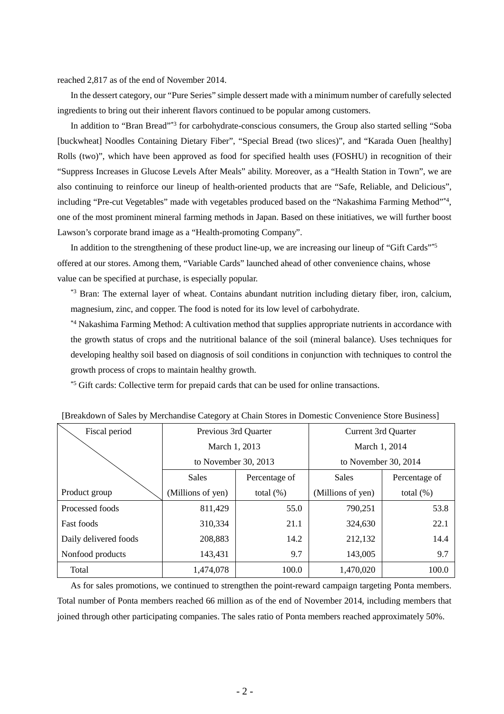#### reached 2,817 as of the end of November 2014.

In the dessert category, our "Pure Series" simple dessert made with a minimum number of carefully selected ingredients to bring out their inherent flavors continued to be popular among customers.

In addition to "Bran Bread"\*3 for carbohydrate-conscious consumers, the Group also started selling "Soba [buckwheat] Noodles Containing Dietary Fiber", "Special Bread (two slices)", and "Karada Ouen [healthy] Rolls (two)", which have been approved as food for specified health uses (FOSHU) in recognition of their "Suppress Increases in Glucose Levels After Meals" ability. Moreover, as a "Health Station in Town", we are also continuing to reinforce our lineup of health-oriented products that are "Safe, Reliable, and Delicious", including "Pre-cut Vegetables" made with vegetables produced based on the "Nakashima Farming Method"\*4, one of the most prominent mineral farming methods in Japan. Based on these initiatives, we will further boost Lawson's corporate brand image as a "Health-promoting Company".

In addition to the strengthening of these product line-up, we are increasing our lineup of "Gift Cards"\*5 offered at our stores. Among them, "Variable Cards" launched ahead of other convenience chains, whose value can be specified at purchase, is especially popular.

\*<sup>3</sup> Bran: The external layer of wheat. Contains abundant nutrition including dietary fiber, iron, calcium, magnesium, zinc, and copper. The food is noted for its low level of carbohydrate.

\*4 Nakashima Farming Method: A cultivation method that supplies appropriate nutrients in accordance with the growth status of crops and the nutritional balance of the soil (mineral balance). Uses techniques for developing healthy soil based on diagnosis of soil conditions in conjunction with techniques to control the growth process of crops to maintain healthy growth.

\*5 Gift cards: Collective term for prepaid cards that can be used for online transactions.

| Fiscal period         | Previous 3rd Quarter          |              | Current 3rd Quarter    |               |  |
|-----------------------|-------------------------------|--------------|------------------------|---------------|--|
|                       | March 1, 2013                 |              | March 1, 2014          |               |  |
|                       | to November 30, $2013$        |              | to November 30, $2014$ |               |  |
|                       | <b>Sales</b><br>Percentage of |              | <b>Sales</b>           | Percentage of |  |
| Product group         | (Millions of yen)             | total $(\%)$ | (Millions of yen)      | total $(\%)$  |  |
| Processed foods       | 811,429                       | 55.0         | 790,251                | 53.8          |  |
| <b>Fast foods</b>     | 310,334                       | 21.1         | 324,630                | 22.1          |  |
| Daily delivered foods | 208,883                       | 14.2         | 212,132                | 14.4          |  |
| Nonfood products      | 143,431                       | 9.7          | 143,005                | 9.7           |  |
| Total                 | 1,474,078                     | 100.0        | 1,470,020              | 100.0         |  |

| [Breakdown of Sales by Merchandise Category at Chain Stores in Domestic Convenience Store Business] |  |  |  |
|-----------------------------------------------------------------------------------------------------|--|--|--|
|                                                                                                     |  |  |  |

As for sales promotions, we continued to strengthen the point-reward campaign targeting Ponta members. Total number of Ponta members reached 66 million as of the end of November 2014, including members that joined through other participating companies. The sales ratio of Ponta members reached approximately 50%.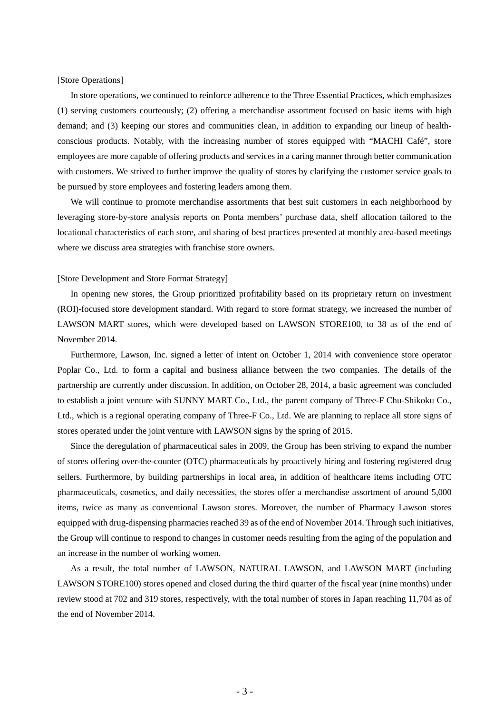#### [Store Operations]

In store operations, we continued to reinforce adherence to the Three Essential Practices, which emphasizes (1) serving customers courteously; (2) offering a merchandise assortment focused on basic items with high demand; and (3) keeping our stores and communities clean, in addition to expanding our lineup of healthconscious products. Notably, with the increasing number of stores equipped with "MACHI Café", store employees are more capable of offering products and services in a caring manner through better communication with customers. We strived to further improve the quality of stores by clarifying the customer service goals to be pursued by store employees and fostering leaders among them.

We will continue to promote merchandise assortments that best suit customers in each neighborhood by leveraging store-by-store analysis reports on Ponta members' purchase data, shelf allocation tailored to the locational characteristics of each store, and sharing of best practices presented at monthly area-based meetings where we discuss area strategies with franchise store owners.

#### [Store Development and Store Format Strategy]

In opening new stores, the Group prioritized profitability based on its proprietary return on investment (ROI)-focused store development standard. With regard to store format strategy, we increased the number of LAWSON MART stores, which were developed based on LAWSON STORE100, to 38 as of the end of November 2014.

Furthermore, Lawson, Inc. signed a letter of intent on October 1, 2014 with convenience store operator Poplar Co., Ltd. to form a capital and business alliance between the two companies. The details of the partnership are currently under discussion. In addition, on October 28, 2014, a basic agreement was concluded to establish a joint venture with SUNNY MART Co., Ltd., the parent company of Three-F Chu-Shikoku Co., Ltd., which is a regional operating company of Three-F Co., Ltd. We are planning to replace all store signs of stores operated under the joint venture with LAWSON signs by the spring of 2015.

Since the deregulation of pharmaceutical sales in 2009, the Group has been striving to expand the number of stores offering over-the-counter (OTC) pharmaceuticals by proactively hiring and fostering registered drug sellers. Furthermore, by building partnerships in local area**,** in addition of healthcare items including OTC pharmaceuticals, cosmetics, and daily necessities, the stores offer a merchandise assortment of around 5,000 items, twice as many as conventional Lawson stores. Moreover, the number of Pharmacy Lawson stores equipped with drug-dispensing pharmacies reached 39 as of the end of November 2014. Through such initiatives, the Group will continue to respond to changes in customer needs resulting from the aging of the population and an increase in the number of working women.

As a result, the total number of LAWSON, NATURAL LAWSON, and LAWSON MART (including LAWSON STORE100) stores opened and closed during the third quarter of the fiscal year (nine months) under review stood at 702 and 319 stores, respectively, with the total number of stores in Japan reaching 11,704 as of the end of November 2014.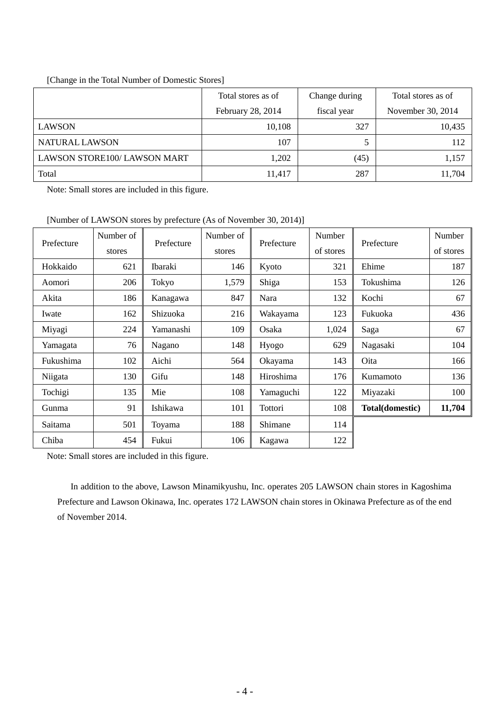### [Change in the Total Number of Domestic Stores]

|                             | Total stores as of | Change during | Total stores as of |
|-----------------------------|--------------------|---------------|--------------------|
|                             | February 28, 2014  | fiscal year   | November 30, 2014  |
| <b>LAWSON</b>               | 10,108             | 327           | 10,435             |
| NATURAL LAWSON              | 107                |               | 112                |
| LAWSON STORE100/LAWSON MART | 1,202              | (45)          | 1,157              |
| Total                       | 11,417             | 287           | 11,704             |

Note: Small stores are included in this figure.

[Number of LAWSON stores by prefecture (As of November 30, 2014)]

| Prefecture | Number of | Prefecture | Number of |            | <b>Number</b> | Prefecture      | Number    |
|------------|-----------|------------|-----------|------------|---------------|-----------------|-----------|
|            | stores    |            | stores    | Prefecture | of stores     |                 | of stores |
| Hokkaido   | 621       | Ibaraki    | 146       | Kyoto      | 321           | Ehime           | 187       |
| Aomori     | 206       | Tokyo      | 1,579     | Shiga      | 153           | Tokushima       | 126       |
| Akita      | 186       | Kanagawa   | 847       | Nara       | 132           | Kochi           | 67        |
| Iwate      | 162       | Shizuoka   | 216       | Wakayama   | 123           | Fukuoka         | 436       |
| Miyagi     | 224       | Yamanashi  | 109       | Osaka      | 1,024         | Saga            | 67        |
| Yamagata   | 76        | Nagano     | 148       | Hyogo      | 629           | Nagasaki        | 104       |
| Fukushima  | 102       | Aichi      | 564       | Okayama    | 143           | Oita            | 166       |
| Niigata    | 130       | Gifu       | 148       | Hiroshima  | 176           | Kumamoto        | 136       |
| Tochigi    | 135       | Mie        | 108       | Yamaguchi  | 122           | Miyazaki        | 100       |
| Gunma      | 91        | Ishikawa   | 101       | Tottori    | 108           | Total(domestic) | 11,704    |
| Saitama    | 501       | Toyama     | 188       | Shimane    | 114           |                 |           |
| Chiba      | 454       | Fukui      | 106       | Kagawa     | 122           |                 |           |

Note: Small stores are included in this figure.

In addition to the above, Lawson Minamikyushu, Inc. operates 205 LAWSON chain stores in Kagoshima Prefecture and Lawson Okinawa, Inc. operates 172 LAWSON chain stores in Okinawa Prefecture as of the end of November 2014.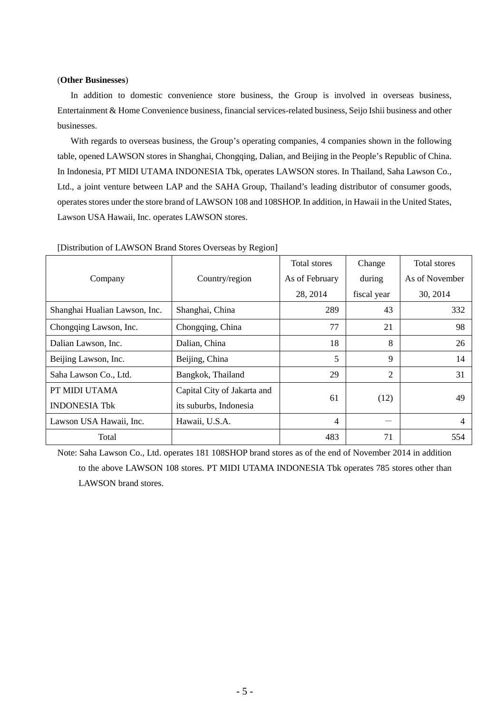#### (**Other Businesses**)

In addition to domestic convenience store business, the Group is involved in overseas business, Entertainment & Home Convenience business, financial services-related business, Seijo Ishii business and other businesses.

With regards to overseas business, the Group's operating companies, 4 companies shown in the following table, opened LAWSON stores in Shanghai, Chongqing, Dalian, and Beijing in the People's Republic of China. In Indonesia, PT MIDI UTAMA INDONESIA Tbk, operates LAWSON stores. In Thailand, Saha Lawson Co., Ltd., a joint venture between LAP and the SAHA Group, Thailand's leading distributor of consumer goods, operates stores under the store brand of LAWSON 108 and 108SHOP. In addition, in Hawaii in the United States, Lawson USA Hawaii, Inc. operates LAWSON stores.

|                               |                             | Total stores   | Change      | Total stores   |
|-------------------------------|-----------------------------|----------------|-------------|----------------|
| Company                       | Country/region              | As of February | during      | As of November |
|                               |                             | 28, 2014       | fiscal year | 30, 2014       |
| Shanghai Hualian Lawson, Inc. | Shanghai, China             | 289            | 43          | 332            |
| Chongqing Lawson, Inc.        | Chongqing, China            | 77             | 21          | 98             |
| Dalian Lawson, Inc.           | Dalian, China               | 18             | 8           | 26             |
| Beijing Lawson, Inc.          | Beijing, China              | 5              | 9           | 14             |
| Saha Lawson Co., Ltd.         | Bangkok, Thailand           | 29             | 2           | 31             |
| PT MIDI UTAMA                 | Capital City of Jakarta and |                |             |                |
| <b>INDONESIA Tbk</b>          | its suburbs, Indonesia      | 61             | (12)        | 49             |
| Lawson USA Hawaii, Inc.       | Hawaii, U.S.A.              | 4              |             | 4              |
| Total                         |                             | 483            | 71          | 554            |

[Distribution of LAWSON Brand Stores Overseas by Region]

Note: Saha Lawson Co., Ltd. operates 181 108SHOP brand stores as of the end of November 2014 in addition to the above LAWSON 108 stores. PT MIDI UTAMA INDONESIA Tbk operates 785 stores other than LAWSON brand stores.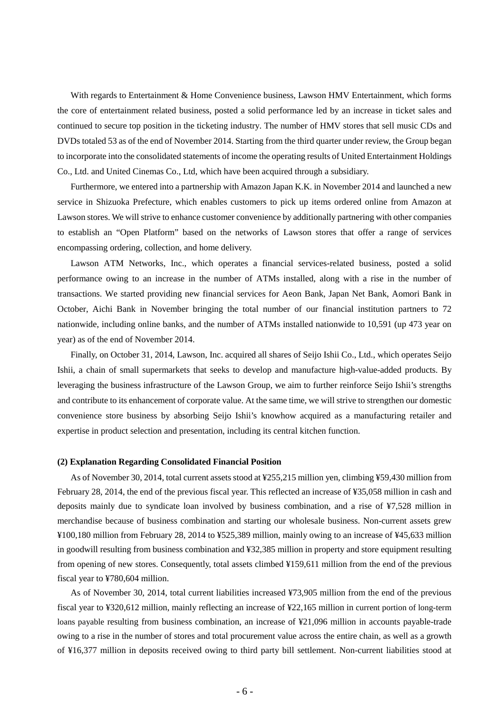With regards to Entertainment & Home Convenience business, Lawson HMV Entertainment, which forms the core of entertainment related business, posted a solid performance led by an increase in ticket sales and continued to secure top position in the ticketing industry. The number of HMV stores that sell music CDs and DVDs totaled 53 as of the end of November 2014. Starting from the third quarter under review, the Group began to incorporate into the consolidated statements of income the operating results of United Entertainment Holdings Co., Ltd. and United Cinemas Co., Ltd, which have been acquired through a subsidiary.

Furthermore, we entered into a partnership with Amazon Japan K.K. in November 2014 and launched a new service in Shizuoka Prefecture, which enables customers to pick up items ordered online from Amazon at Lawson stores. We will strive to enhance customer convenience by additionally partnering with other companies to establish an "Open Platform" based on the networks of Lawson stores that offer a range of services encompassing ordering, collection, and home delivery.

Lawson ATM Networks, Inc., which operates a financial services-related business, posted a solid performance owing to an increase in the number of ATMs installed, along with a rise in the number of transactions. We started providing new financial services for Aeon Bank, Japan Net Bank, Aomori Bank in October, Aichi Bank in November bringing the total number of our financial institution partners to 72 nationwide, including online banks, and the number of ATMs installed nationwide to 10,591 (up 473 year on year) as of the end of November 2014.

Finally, on October 31, 2014, Lawson, Inc. acquired all shares of Seijo Ishii Co., Ltd., which operates Seijo Ishii, a chain of small supermarkets that seeks to develop and manufacture high-value-added products. By leveraging the business infrastructure of the Lawson Group, we aim to further reinforce Seijo Ishii's strengths and contribute to its enhancement of corporate value. At the same time, we will strive to strengthen our domestic convenience store business by absorbing Seijo Ishii's knowhow acquired as a manufacturing retailer and expertise in product selection and presentation, including its central kitchen function.

#### **(2) Explanation Regarding Consolidated Financial Position**

As of November 30, 2014, total current assets stood at ¥255,215 million yen, climbing ¥59,430 million from February 28, 2014, the end of the previous fiscal year. This reflected an increase of ¥35,058 million in cash and deposits mainly due to syndicate loan involved by business combination, and a rise of ¥7,528 million in merchandise because of business combination and starting our wholesale business. Non-current assets grew ¥100,180 million from February 28, 2014 to ¥525,389 million, mainly owing to an increase of ¥45,633 million in goodwill resulting from business combination and ¥32,385 million in property and store equipment resulting from opening of new stores. Consequently, total assets climbed ¥159,611 million from the end of the previous fiscal year to ¥780,604 million.

As of November 30, 2014, total current liabilities increased ¥73,905 million from the end of the previous fiscal year to ¥320,612 million, mainly reflecting an increase of ¥22,165 million in current portion of long-term loans payable resulting from business combination, an increase of ¥21,096 million in accounts payable-trade owing to a rise in the number of stores and total procurement value across the entire chain, as well as a growth of ¥16,377 million in deposits received owing to third party bill settlement. Non-current liabilities stood at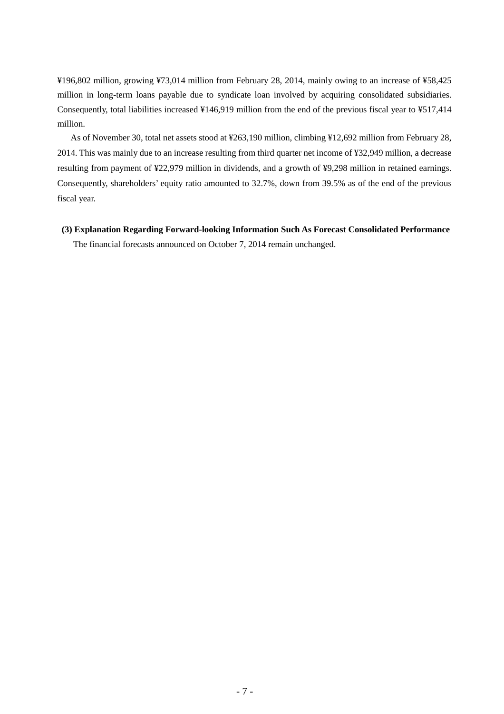¥196,802 million, growing ¥73,014 million from February 28, 2014, mainly owing to an increase of ¥58,425 million in long-term loans payable due to syndicate loan involved by acquiring consolidated subsidiaries. Consequently, total liabilities increased ¥146,919 million from the end of the previous fiscal year to ¥517,414 million.

As of November 30, total net assets stood at ¥263,190 million, climbing ¥12,692 million from February 28, 2014. This was mainly due to an increase resulting from third quarter net income of ¥32,949 million, a decrease resulting from payment of ¥22,979 million in dividends, and a growth of ¥9,298 million in retained earnings. Consequently, shareholders' equity ratio amounted to 32.7%, down from 39.5% as of the end of the previous fiscal year.

 **(3) Explanation Regarding Forward-looking Information Such As Forecast Consolidated Performance**  The financial forecasts announced on October 7, 2014 remain unchanged.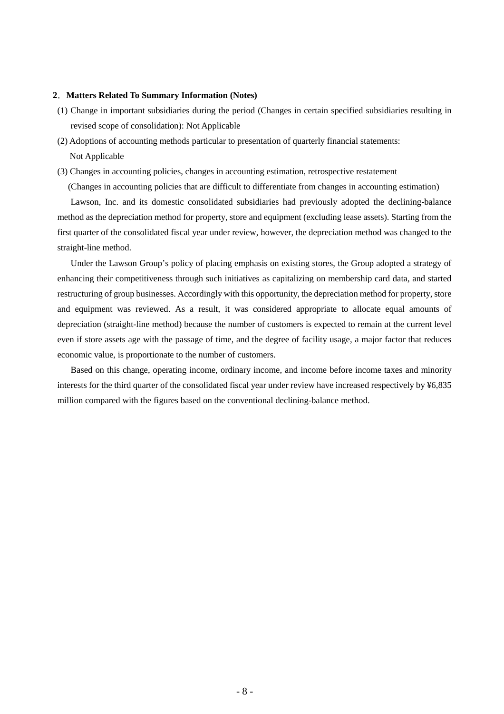#### **2**.**Matters Related To Summary Information (Notes)**

- (1) Change in important subsidiaries during the period (Changes in certain specified subsidiaries resulting in revised scope of consolidation): Not Applicable
- (2) Adoptions of accounting methods particular to presentation of quarterly financial statements: Not Applicable
- (3) Changes in accounting policies, changes in accounting estimation, retrospective restatement

(Changes in accounting policies that are difficult to differentiate from changes in accounting estimation)

Lawson, Inc. and its domestic consolidated subsidiaries had previously adopted the declining-balance method as the depreciation method for property, store and equipment (excluding lease assets). Starting from the first quarter of the consolidated fiscal year under review, however, the depreciation method was changed to the straight-line method.

Under the Lawson Group's policy of placing emphasis on existing stores, the Group adopted a strategy of enhancing their competitiveness through such initiatives as capitalizing on membership card data, and started restructuring of group businesses. Accordingly with this opportunity, the depreciation method for property, store and equipment was reviewed. As a result, it was considered appropriate to allocate equal amounts of depreciation (straight-line method) because the number of customers is expected to remain at the current level even if store assets age with the passage of time, and the degree of facility usage, a major factor that reduces economic value, is proportionate to the number of customers.

Based on this change, operating income, ordinary income, and income before income taxes and minority interests for the third quarter of the consolidated fiscal year under review have increased respectively by ¥6,835 million compared with the figures based on the conventional declining-balance method.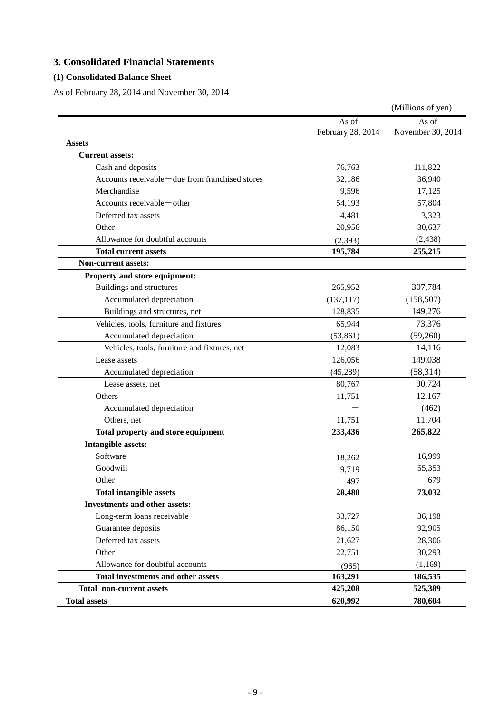# **3. Consolidated Financial Statements**

### **(1) Consolidated Balance Sheet**

As of February 28, 2014 and November 30, 2014

|                                                  |                   | (Millions of yen) |
|--------------------------------------------------|-------------------|-------------------|
|                                                  | As of             | As of             |
|                                                  | February 28, 2014 | November 30, 2014 |
| <b>Assets</b>                                    |                   |                   |
| <b>Current assets:</b>                           |                   |                   |
| Cash and deposits                                | 76,763            | 111,822           |
| Accounts receivable – due from franchised stores | 32,186            | 36,940            |
| Merchandise                                      | 9,596             | 17,125            |
| Accounts receivable – other                      | 54,193            | 57,804            |
| Deferred tax assets                              | 4,481             | 3,323             |
| Other                                            | 20,956            | 30,637            |
| Allowance for doubtful accounts                  | (2, 393)          | (2, 438)          |
| <b>Total current assets</b>                      | 195,784           | 255,215           |
| <b>Non-current assets:</b>                       |                   |                   |
| Property and store equipment:                    |                   |                   |
| Buildings and structures                         | 265,952           | 307,784           |
| Accumulated depreciation                         | (137, 117)        | (158, 507)        |
| Buildings and structures, net                    | 128,835           | 149,276           |
| Vehicles, tools, furniture and fixtures          | 65,944            | 73,376            |
| Accumulated depreciation                         | (53, 861)         | (59,260)          |
| Vehicles, tools, furniture and fixtures, net     | 12,083            | 14,116            |
| Lease assets                                     | 126,056           | 149,038           |
| Accumulated depreciation                         | (45,289)          | (58, 314)         |
| Lease assets, net                                | 80,767            | 90,724            |
| Others                                           | 11,751            | 12,167            |
| Accumulated depreciation                         |                   | (462)             |
| Others, net                                      | 11,751            | 11,704            |
| Total property and store equipment               | 233,436           | 265,822           |
| <b>Intangible assets:</b>                        |                   |                   |
| Software                                         | 18,262            | 16,999            |
| Goodwill                                         | 9,719             | 55,353            |
| Other                                            | 497               | 679               |
| <b>Total intangible assets</b>                   | 28,480            | 73,032            |
| <b>Investments and other assets:</b>             |                   |                   |
| Long-term loans receivable                       | 33,727            | 36,198            |
| Guarantee deposits                               | 86,150            | 92,905            |
| Deferred tax assets                              | 21,627            | 28,306            |
| Other                                            | 22,751            | 30,293            |
| Allowance for doubtful accounts                  | (965)             | (1,169)           |
| Total investments and other assets               | 163,291           | 186,535           |
| <b>Total non-current assets</b>                  | 425,208           | 525,389           |
| <b>Total assets</b>                              | 620,992           | 780,604           |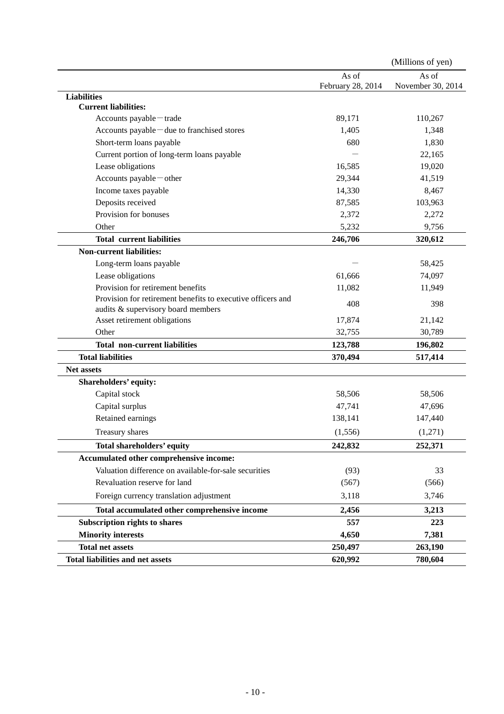|                                                             |                   | (Millions of yen) |
|-------------------------------------------------------------|-------------------|-------------------|
|                                                             | As of             | As of             |
|                                                             | February 28, 2014 | November 30, 2014 |
| <b>Liabilities</b><br><b>Current liabilities:</b>           |                   |                   |
| Accounts payable-trade                                      | 89,171            | 110,267           |
| Accounts payable-due to franchised stores                   | 1,405             | 1,348             |
| Short-term loans payable                                    | 680               | 1,830             |
| Current portion of long-term loans payable                  |                   | 22,165            |
| Lease obligations                                           | 16,585            | 19,020            |
| Accounts payable - other                                    | 29,344            | 41,519            |
| Income taxes payable                                        | 14,330            | 8,467             |
| Deposits received                                           | 87,585            | 103,963           |
| Provision for bonuses                                       | 2,372             | 2,272             |
| Other                                                       | 5,232             | 9,756             |
| <b>Total current liabilities</b>                            | 246,706           | 320,612           |
| <b>Non-current liabilities:</b>                             |                   |                   |
| Long-term loans payable                                     |                   | 58,425            |
| Lease obligations                                           | 61,666            | 74,097            |
| Provision for retirement benefits                           | 11,082            | 11,949            |
| Provision for retirement benefits to executive officers and |                   |                   |
| audits & supervisory board members                          | 408               | 398               |
| Asset retirement obligations                                | 17,874            | 21,142            |
| Other                                                       | 32,755            | 30,789            |
| <b>Total non-current liabilities</b>                        | 123,788           | 196,802           |
| <b>Total liabilities</b>                                    | 370,494           | 517,414           |
| <b>Net assets</b>                                           |                   |                   |
| Shareholders' equity:                                       |                   |                   |
| Capital stock                                               | 58,506            | 58,506            |
| Capital surplus                                             | 47,741            | 47,696            |
| Retained earnings                                           | 138,141           | 147,440           |
| Treasury shares                                             | (1, 556)          | (1,271)           |
| <b>Total shareholders' equity</b>                           | 242,832           | 252,371           |
| Accumulated other comprehensive income:                     |                   |                   |
| Valuation difference on available-for-sale securities       | (93)              | 33                |
| Revaluation reserve for land                                | (567)             | (566)             |
| Foreign currency translation adjustment                     | 3,118             | 3,746             |
| Total accumulated other comprehensive income                | 2,456             | 3,213             |
| Subscription rights to shares                               | 557               | 223               |
| <b>Minority interests</b>                                   | 4,650             | 7,381             |
| <b>Total net assets</b>                                     | 250,497           | 263,190           |
| <b>Total liabilities and net assets</b>                     | 620,992           | 780,604           |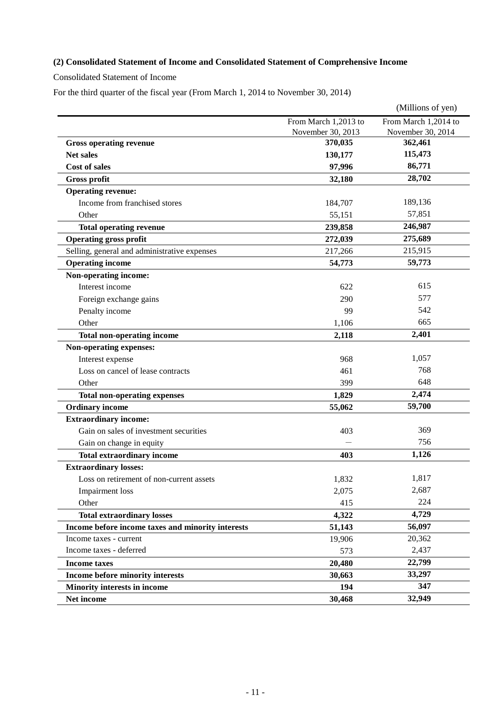## **(2) Consolidated Statement of Income and Consolidated Statement of Comprehensive Income**

Consolidated Statement of Income

For the third quarter of the fiscal year (From March 1, 2014 to November 30, 2014)

|                                                   |                      | (Millions of yen)    |
|---------------------------------------------------|----------------------|----------------------|
|                                                   | From March 1,2013 to | From March 1,2014 to |
|                                                   | November 30, 2013    | November 30, 2014    |
| <b>Gross operating revenue</b>                    | 370,035              | 362,461              |
| <b>Net sales</b>                                  | 130,177              | 115,473              |
| <b>Cost of sales</b>                              | 97,996               | 86,771               |
| <b>Gross profit</b>                               | 32,180               | 28,702               |
| <b>Operating revenue:</b>                         |                      |                      |
| Income from franchised stores                     | 184,707              | 189,136              |
| Other                                             | 55,151               | 57,851               |
| <b>Total operating revenue</b>                    | 239,858              | 246,987              |
| <b>Operating gross profit</b>                     | 272,039              | 275,689              |
| Selling, general and administrative expenses      | 217,266              | 215,915              |
| <b>Operating income</b>                           | 54,773               | 59,773               |
| Non-operating income:                             |                      |                      |
| Interest income                                   | 622                  | 615                  |
| Foreign exchange gains                            | 290                  | 577                  |
| Penalty income                                    | 99                   | 542                  |
| Other                                             | 1,106                | 665                  |
| <b>Total non-operating income</b>                 | 2,118                | 2,401                |
| Non-operating expenses:                           |                      |                      |
| Interest expense                                  | 968                  | 1,057                |
| Loss on cancel of lease contracts                 | 461                  | 768                  |
| Other                                             | 399                  | 648                  |
| <b>Total non-operating expenses</b>               | 1,829                | 2,474                |
| <b>Ordinary income</b>                            | 55,062               | 59,700               |
| <b>Extraordinary income:</b>                      |                      |                      |
| Gain on sales of investment securities            | 403                  | 369                  |
| Gain on change in equity                          |                      | 756                  |
| <b>Total extraordinary income</b>                 | 403                  | 1,126                |
| <b>Extraordinary losses:</b>                      |                      |                      |
| Loss on retirement of non-current assets          | 1,832                | 1,817                |
| <b>Impairment</b> loss                            | 2,075                | 2,687                |
| Other                                             | 415                  | 224                  |
| <b>Total extraordinary losses</b>                 | 4,322                | 4,729                |
| Income before income taxes and minority interests | 51,143               | 56,097               |
| Income taxes - current                            | 19,906               | 20,362               |
| Income taxes - deferred                           | 573                  | 2,437                |
| <b>Income taxes</b>                               | 20,480               | 22,799               |
| Income before minority interests                  | 30,663               | 33,297               |
| <b>Minority interests in income</b>               | 194                  | 347                  |
| Net income                                        | 30,468               | 32,949               |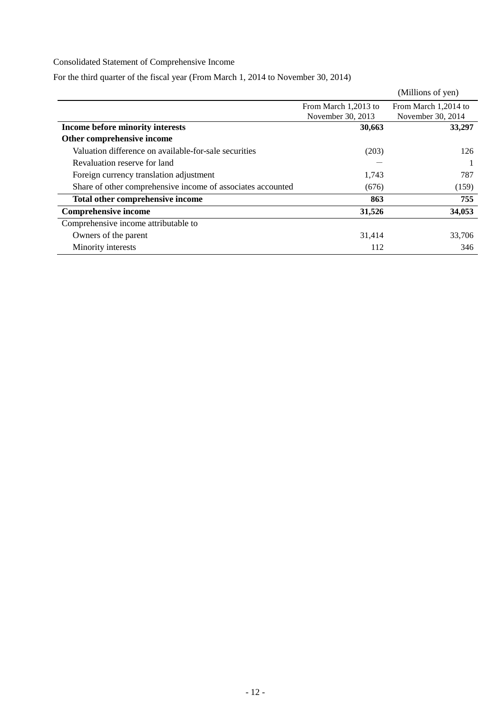## Consolidated Statement of Comprehensive Income

For the third quarter of the fiscal year (From March 1, 2014 to November 30, 2014)

|                                                             |                      | (Millions of yen)    |
|-------------------------------------------------------------|----------------------|----------------------|
|                                                             | From March 1,2013 to | From March 1,2014 to |
|                                                             | November 30, 2013    | November 30, 2014    |
| Income before minority interests                            | 30,663               | 33,297               |
| Other comprehensive income                                  |                      |                      |
| Valuation difference on available-for-sale securities       | (203)                | 126                  |
| Revaluation reserve for land                                |                      |                      |
| Foreign currency translation adjustment                     | 1,743                | 787                  |
| Share of other comprehensive income of associates accounted | (676)                | (159)                |
| Total other comprehensive income                            | 863                  | 755                  |
| <b>Comprehensive income</b>                                 | 31,526               | 34,053               |
| Comprehensive income attributable to                        |                      |                      |
| Owners of the parent                                        | 31,414               | 33,706               |
| Minority interests                                          | 112                  | 346                  |